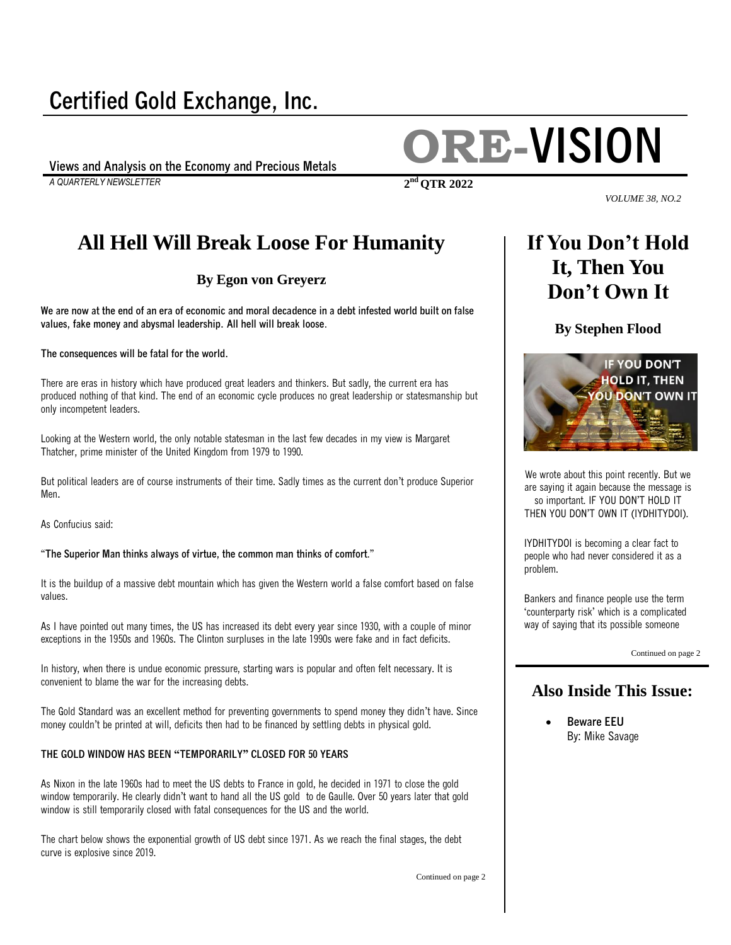## **Certified Gold Exchange, Inc.**

*A QUARTERLY NEWSLETTER* **2**

# **Views and Analysis on the Economy and Precious Metals ORE-VISION**

**nd QTR 2022**

#### *VOLUME 38, NO.2*

### **All Hell Will Break Loose For Humanity**

#### **By [Egon von Greyerz](https://www.gold-eagle.com/authors/egon-von-greyerz)**

**We are now at the end of an era of economic and moral decadence in a debt infested world built on false values, fake money and abysmal leadership. All hell will break loose**.

**The consequences will be fatal for the world.**

There are eras in history which have produced great leaders and thinkers. But sadly, the current era has produced nothing of that kind. The end of an economic cycle produces no great leadership or statesmanship but only incompetent leaders.

Looking at the Western world, the only notable statesman in the last few decades in my view is Margaret Thatcher, prime minister of the United Kingdom from 1979 to 1990.

But political leaders are of course instruments of their time. Sadly times as the current don't produce Superior Men**.**

As Confucius said:

"**The Superior Man thinks always of virtue, the common man thinks of comfort**."

It is the buildup of a massive debt mountain which has given the Western world a false comfort based on false values.

As I have pointed out many times, the US has increased its debt every year since 1930, with a couple of minor exceptions in the 1950s and 1960s. The Clinton surpluses in the late 1990s were fake and in fact deficits.

In history, when there is undue economic pressure, starting wars is popular and often felt necessary. It is convenient to blame the war for the increasing debts.

The Gold Standard was an excellent method for preventing governments to spend money they didn't have. Since money couldn't be printed at will, deficits then had to be financed by settling debts in physical gold.

#### **THE GOLD WINDOW HAS BEEN "TEMPORARILY" CLOSED FOR 50 YEARS**

As Nixon in the late 1960s had to meet the US debts to France in gold, he decided in 1971 to close the gold window temporarily. He clearly didn't want to hand all the US gold to de Gaulle. Over 50 years later that gold window is still temporarily closed with fatal consequences for the US and the world.

The chart below shows the exponential growth of US debt since 1971. As we reach the final stages, the debt curve is explosive since 2019.

Continued on page 2

### **If You Don't Hold It, Then You Don't Own It**

**By [Stephen Flood](https://www.gold-eagle.com/authors/stephen-flood)**



We wrote about this point recently. But we are saying it again because the message is so important. IF YOU DON'T HOLD IT THEN YOU DON'T OWN IT (IYDHITYDOI).

IYDHITYDOI is becoming a clear fact to people who had never considered it as a problem.

Bankers and finance people use the term 'counterparty risk' which is a complicated way of saying that its possible someone

Continued on page 2

### **Also Inside This Issue:**

 **Beware EEU** By: Mike Savage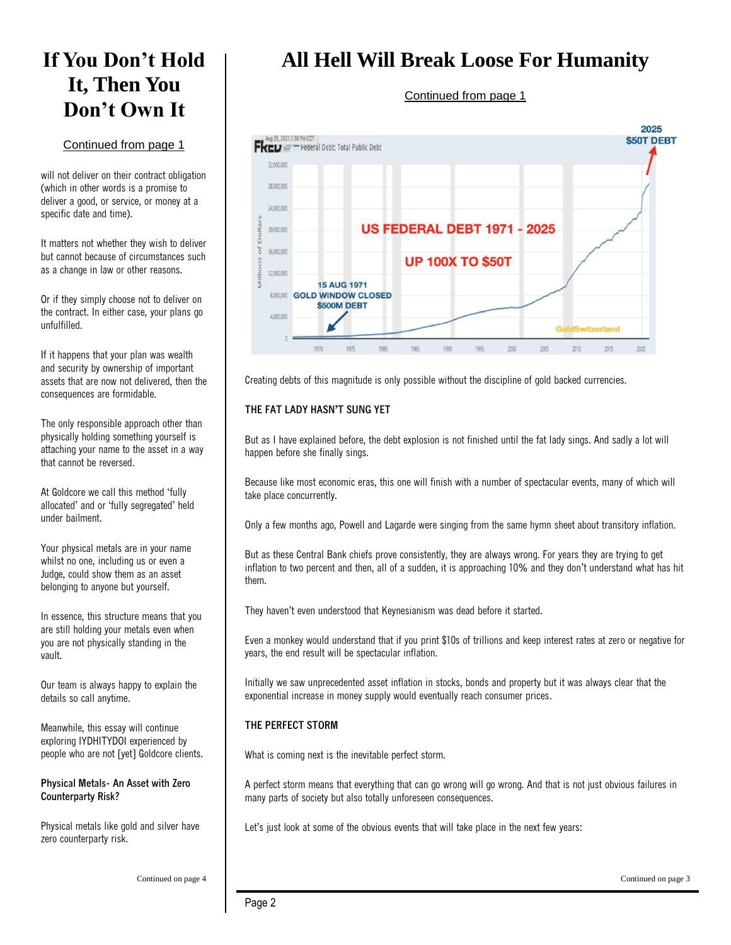### **If You Don't Hold It, Then You Don't Own It**

#### Continued from page 1

will not deliver on their contract obligation (which in other words is a promise to deliver a good, or service, or money at a specific date and time).

It matters not whether they wish to deliver but cannot because of circumstances such as a change in law or other reasons.

Or if they simply choose not to deliver on the contract. In either case, your plans go unfulfilled.

If it happens that your plan was wealth and security by ownership of important assets that are now not delivered, then the consequences are formidable.

The only responsible approach other than physically holding something yourself is attaching your name to the asset in a way that cannot be reversed.

At Goldcore we call this method 'fully allocated' and or 'fully segregated' held under bailment.

Your physical metals are in your name whilst no one, including us or even a Judge, could show them as an asset belonging to anyone but yourself.

In essence, this structure means that you are still holding your metals even when you are not physically standing in the vault.

Our team is always happy to explain the details so call anytime.

Meanwhile, this essay will continue exploring IYDHITYDOI experienced by people who are not [yet] Goldcore clients.

**Physical Metals- An Asset with Zero Counterparty Risk?**

Physical metals like gold and silver have zero counterparty risk.

### **All Hell Will Break Loose For Humanity**

#### Continued from page 1



Creating debts of this magnitude is only possible without the discipline of gold backed currencies.

#### **THE FAT LADY HASN'T SUNG YET**

But as I have explained before, the debt explosion is not finished until the fat lady sings. And sadly a lot will happen before she finally sings.

Because like most economic eras, this one will finish with a number of spectacular events, many of which will take place concurrently.

Only a few months ago, Powell and Lagarde were singing from the same hymn sheet about transitory inflation.

But as these Central Bank chiefs prove consistently, they are always wrong. For years they are trying to get inflation to two percent and then, all of a sudden, it is approaching 10% and they don't understand what has hit them.

They haven't even understood that Keynesianism was dead before it started.

Even a monkey would understand that if you print \$10s of trillions and keep interest rates at zero or negative for years, the end result will be spectacular inflation.

Initially we saw unprecedented asset inflation in stocks, bonds and property but it was always clear that the exponential increase in money supply would eventually reach consumer prices.

#### **THE PERFECT STORM**

What is coming next is the inevitable perfect storm.

A perfect storm means that everything that can go wrong will go wrong. And that is not just obvious failures in many parts of society but also totally unforeseen consequences.

Let's just look at some of the obvious events that will take place in the next few years: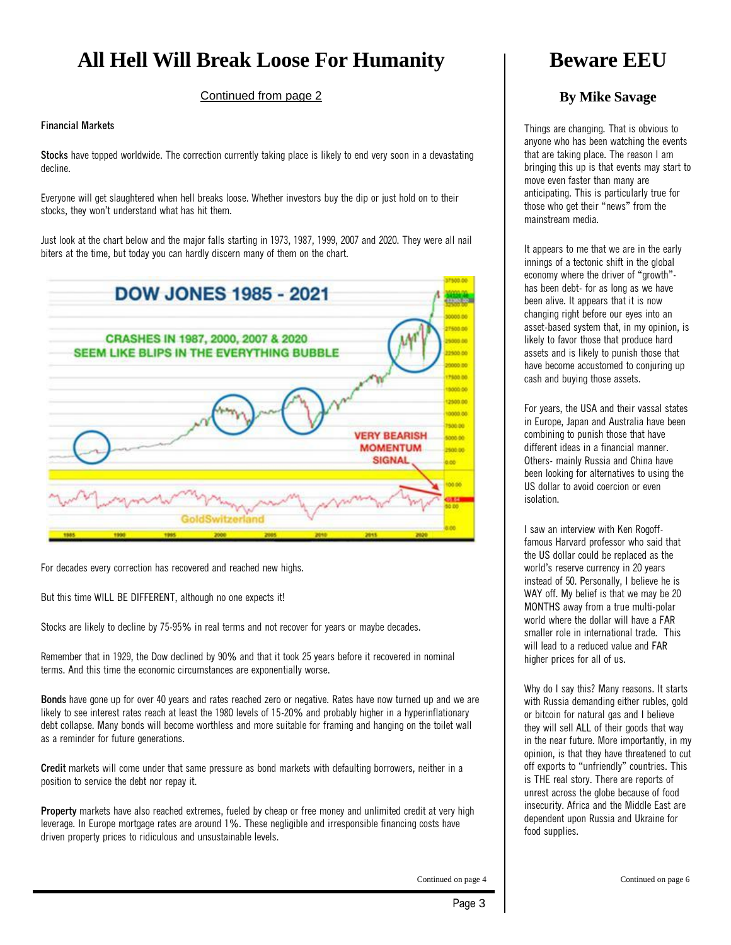### **All Hell Will Break Loose For Humanity**

Continued from page 2

#### **Financial Markets**

**Stocks** have topped worldwide. The correction currently taking place is likely to end very soon in a devastating decline.

Everyone will get slaughtered when hell breaks loose. Whether investors buy the dip or just hold on to their stocks, they won't understand what has hit them.

Just look at the chart below and the major falls starting in 1973, 1987, 1999, 2007 and 2020. They were all nail biters at the time, but today you can hardly discern many of them on the chart.



For decades every correction has recovered and reached new highs.

But this time WILL BE DIFFERENT, although no one expects it!

Stocks are likely to decline by 75-95% in real terms and not recover for years or maybe decades.

Remember that in 1929, the Dow declined by 90% and that it took 25 years before it recovered in nominal terms. And this time the economic circumstances are exponentially worse.

**Bonds** have gone up for over 40 years and rates reached zero or negative. Rates have now turned up and we are likely to see interest rates reach at least the 1980 levels of 15-20% and probably higher in a hyperinflationary debt collapse. Many bonds will become worthless and more suitable for framing and hanging on the toilet wall as a reminder for future generations.

**Credit** markets will come under that same pressure as bond markets with defaulting borrowers, neither in a position to service the debt nor repay it.

**Property** markets have also reached extremes, fueled by cheap or free money and unlimited credit at very high leverage. In Europe mortgage rates are around 1%. These negligible and irresponsible financing costs have driven property prices to ridiculous and unsustainable levels.

**Beware EEU**

#### **By [Mike Savage](https://www.gold-eagle.com/authors/mike-savage)**

Things are changing. That is obvious to anyone who has been watching the events that are taking place. The reason I am bringing this up is that events may start to move even faster than many are anticipating. This is particularly true for those who get their "news" from the mainstream media.

It appears to me that we are in the early innings of a tectonic shift in the global economy where the driver of "growth" has been debt- for as long as we have been alive. It appears that it is now changing right before our eyes into an asset-based system that, in my opinion, is likely to favor those that produce hard assets and is likely to punish those that have become accustomed to conjuring up cash and buying those assets.

For years, the USA and their vassal states in Europe, Japan and Australia have been combining to punish those that have different ideas in a financial manner. Others- mainly Russia and China have been looking for alternatives to using the US dollar to avoid coercion or even isolation.

I saw an interview with Ken Rogofffamous Harvard professor who said that the US dollar could be replaced as the world's reserve currency in 20 years instead of 50. Personally, I believe he is WAY off. My belief is that we may be 20 MONTHS away from a true multi-polar world where the dollar will have a FAR smaller role in international trade. This will lead to a reduced value and FAR higher prices for all of us.

Why do I say this? Many reasons. It starts with Russia demanding either rubles, gold or bitcoin for natural gas and I believe they will sell ALL of their goods that way in the near future. More importantly, in my opinion, is that they have threatened to cut off exports to "unfriendly" countries. This is THE real story. There are reports of unrest across the globe because of food insecurity. Africa and the Middle East are dependent upon Russia and Ukraine for food supplies.

Continued on page 4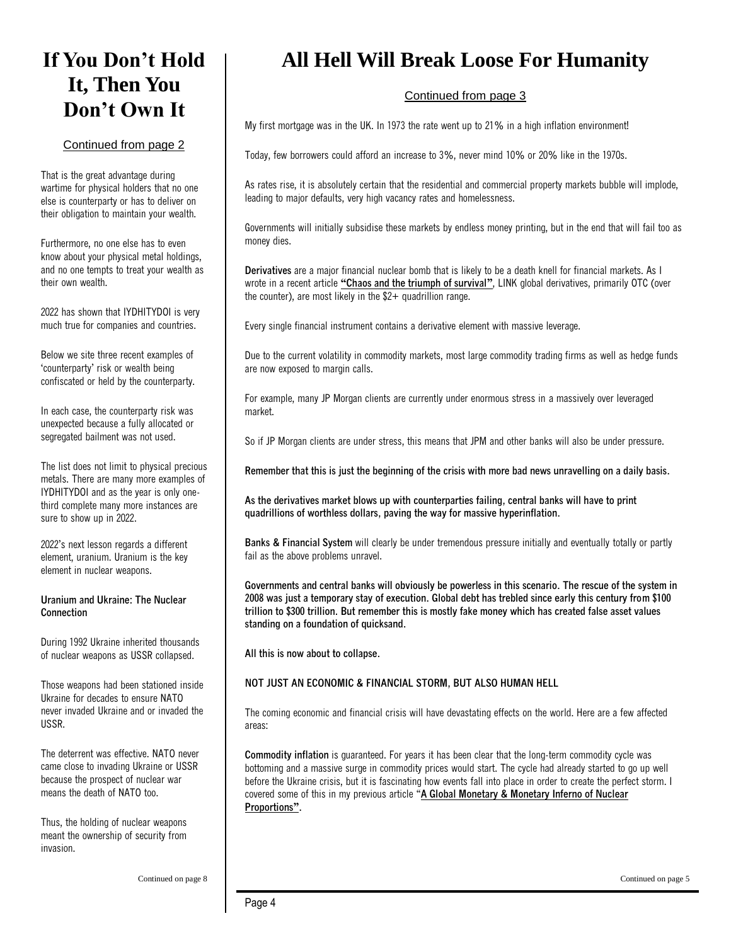### **If You Don't Hold It, Then You Don't Own It**

#### Continued from page 2

That is the great advantage during wartime for physical holders that no one else is counterparty or has to deliver on their obligation to maintain your wealth.

Furthermore, no one else has to even know about your physical metal holdings, and no one tempts to treat your wealth as their own wealth.

2022 has shown that IYDHITYDOI is very much true for companies and countries.

Below we site three recent examples of 'counterparty' risk or wealth being confiscated or held by the counterparty.

In each case, the counterparty risk was unexpected because a fully allocated or segregated bailment was not used.

The list does not limit to physical precious metals. There are many more examples of IYDHITYDOI and as the year is only onethird complete many more instances are sure to show up in 2022.

2022's next lesson regards a different element, uranium. Uranium is the key element in nuclear weapons.

#### **Uranium and Ukraine: The Nuclear Connection**

During 1992 Ukraine inherited thousands of nuclear weapons as USSR collapsed.

Those weapons had been stationed inside Ukraine for decades to ensure NATO never invaded Ukraine and or invaded the USSR.

The deterrent was effective. NATO never came close to invading Ukraine or USSR because the prospect of nuclear war means the death of NATO too.

Thus, the holding of nuclear weapons meant the ownership of security from invasion.

### **All Hell Will Break Loose For Humanity**

#### Continued from page 3

My first mortgage was in the UK. In 1973 the rate went up to 21% in a high inflation environment!

Today, few borrowers could afford an increase to 3%, never mind 10% or 20% like in the 1970s.

As rates rise, it is absolutely certain that the residential and commercial property markets bubble will implode, leading to major defaults, very high vacancy rates and homelessness.

Governments will initially subsidise these markets by endless money printing, but in the end that will fail too as money dies.

**Derivatives** are a major financial nuclear bomb that is likely to be a death knell for financial markets. As I wrote in a recent article **"[Chaos and the triumph of survival](https://goldswitzerland.com/chaos-and-the-triumph-of-survival/)"**, LINK global derivatives, primarily OTC (over the counter), are most likely in the \$2+ quadrillion range.

Every single financial instrument contains a derivative element with massive leverage.

Due to the current volatility in commodity markets, most large commodity trading firms as well as hedge funds are now exposed to margin calls.

For example, many JP Morgan clients are currently under enormous stress in a massively over leveraged market.

So if JP Morgan clients are under stress, this means that JPM and other banks will also be under pressure.

**Remember that this is just the beginning of the crisis with more bad news unravelling on a daily basis.**

**As the derivatives market blows up with counterparties failing, central banks will have to print quadrillions of worthless dollars, paving the way for massive hyperinflation.**

**Banks & Financial System** will clearly be under tremendous pressure initially and eventually totally or partly fail as the above problems unravel.

**Governments and central banks will obviously be powerless in this scenario. The rescue of the system in 2008 was just a temporary stay of execution. Global debt has trebled since early this century from \$100 trillion to \$300 trillion. But remember this is mostly fake money which has created false asset values standing on a foundation of quicksand.**

**All this is now about to collapse.**

#### **NOT JUST AN ECONOMIC & FINANCIAL STORM, BUT ALSO HUMAN HELL**

The coming economic and financial crisis will have devastating effects on the world. Here are a few affected areas:

**Commodity inflation** is guaranteed. For years it has been clear that the long-term commodity cycle was bottoming and a massive surge in commodity prices would start. The cycle had already started to go up well before the Ukraine crisis, but it is fascinating how events fall into place in order to create the perfect storm. I covered some of this in my previous article "**[A Global Monetary & Monetary Inferno of Nuclear](https://goldswitzerland.com/global-monetary-commodity-inferno/)  [Proportions](https://goldswitzerland.com/global-monetary-commodity-inferno/)".**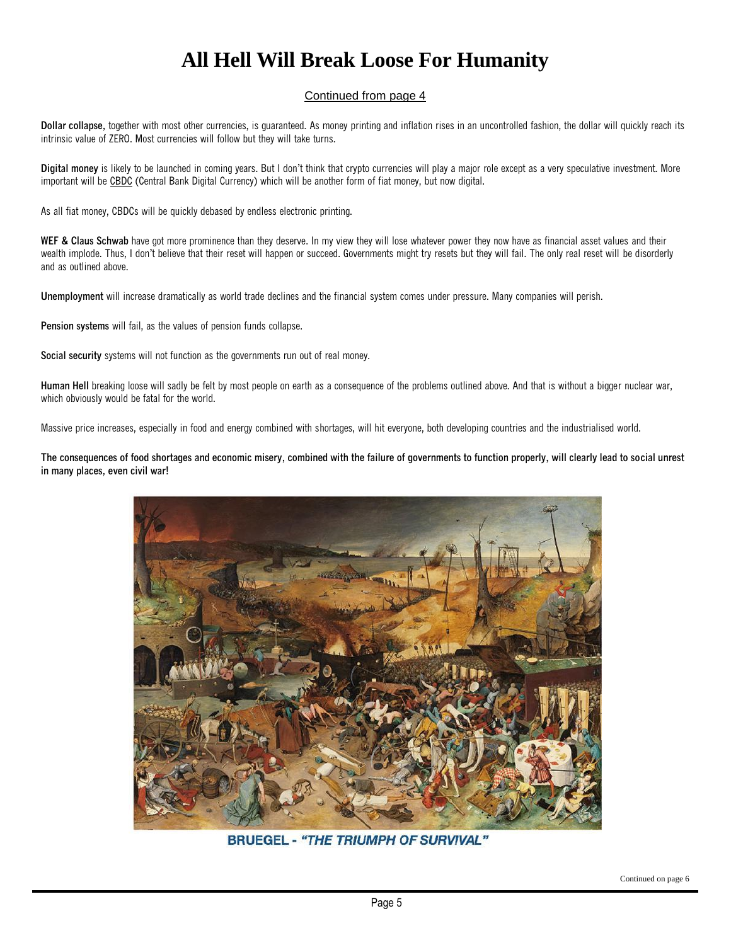### **All Hell Will Break Loose For Humanity**

#### Continued from page 4

**Dollar collapse,** together with most other currencies, is guaranteed. As money printing and inflation rises in an uncontrolled fashion, the dollar will quickly reach its intrinsic value of ZERO. Most currencies will follow but they will take turns.

**Digital money** is likely to be launched in coming years. But I don't think that crypto currencies will play a major role except as a very speculative investment. More important will be [CBDC](https://www.federalreserve.gov/central-bank-digital-currency.htm) (Central Bank Digital Currency) which will be another form of fiat money, but now digital.

As all fiat money, CBDCs will be quickly debased by endless electronic printing.

WEF & Claus Schwab have got more prominence than they deserve. In my view they will lose whatever power they now have as financial asset values and their wealth implode. Thus, I don't believe that their reset will happen or succeed. Governments might try resets but they will fail. The only real reset will be disorderly and as outlined above.

**Unemployment** will increase dramatically as world trade declines and the financial system comes under pressure. Many companies will perish.

**Pension systems** will fail, as the values of pension funds collapse.

**Social security** systems will not function as the governments run out of real money.

**Human Hell** breaking loose will sadly be felt by most people on earth as a consequence of the problems outlined above. And that is without a bigger nuclear war, which obviously would be fatal for the world.

Massive price increases, especially in food and energy combined with shortages, will hit everyone, both developing countries and the industrialised world.

**The consequences of food shortages and economic misery, combined with the failure of governments to function properly, will clearly lead to social unrest in many places, even civil war!**



**BRUEGEL - "THE TRIUMPH OF SURVIVAL"**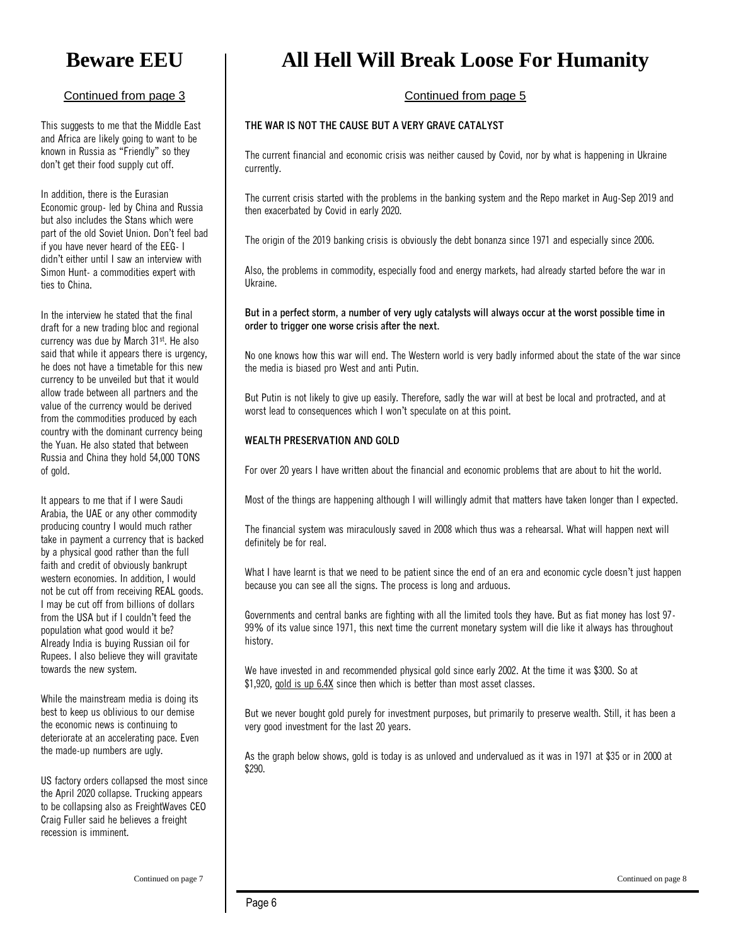### **Beware EEU**

#### Continued from page 3

This suggests to me that the Middle East and Africa are likely going to want to be known in Russia as "Friendly" so they don't get their food supply cut off.

In addition, there is the Eurasian Economic group- led by China and Russia but also includes the Stans which were part of the old Soviet Union. Don't feel bad if you have never heard of the EEG- I didn't either until I saw an interview with Simon Hunt- a commodities expert with ties to China.

In the interview he stated that the final draft for a new trading bloc and regional currency was due by March 31st. He also said that while it appears there is urgency, he does not have a timetable for this new currency to be unveiled but that it would allow trade between all partners and the value of the currency would be derived from the commodities produced by each country with the dominant currency being the Yuan. He also stated that between Russia and China they hold 54,000 TONS of gold.

It appears to me that if I were Saudi Arabia, the UAE or any other commodity producing country I would much rather take in payment a currency that is backed by a physical good rather than the full faith and credit of obviously bankrupt western economies. In addition, I would not be cut off from receiving REAL goods. I may be cut off from billions of dollars from the USA but if I couldn't feed the population what good would it be? Already India is buying Russian oil for Rupees. I also believe they will gravitate towards the new system.

While the mainstream media is doing its best to keep us oblivious to our demise the economic news is continuing to deteriorate at an accelerating pace. Even the made-up numbers are ugly.

US factory orders collapsed the most since the April 2020 collapse. Trucking appears to be collapsing also as FreightWaves CEO Craig Fuller said he believes a freight recession is imminent.

### **All Hell Will Break Loose For Humanity**

#### Continued from page 5

#### **THE WAR IS NOT THE CAUSE BUT A VERY GRAVE CATALYST**

The current financial and economic crisis was neither caused by Covid, nor by what is happening in Ukraine currently.

The current crisis started with the problems in the banking system and the Repo market in Aug-Sep 2019 and then exacerbated by Covid in early 2020.

The origin of the 2019 banking crisis is obviously the debt bonanza since 1971 and especially since 2006.

Also, the problems in commodity, especially food and energy markets, had already started before the war in Ukraine.

**But in a perfect storm, a number of very ugly catalysts will always occur at the worst possible time in order to trigger one worse crisis after the next.**

No one knows how this war will end. The Western world is very badly informed about the state of the war since the media is biased pro West and anti Putin.

But Putin is not likely to give up easily. Therefore, sadly the war will at best be local and protracted, and at worst lead to consequences which I won't speculate on at this point.

#### **WEALTH PRESERVATION AND GOLD**

For over 20 years I have written about the financial and economic problems that are about to hit the world.

Most of the things are happening although I will willingly admit that matters have taken longer than I expected.

The financial system was miraculously saved in 2008 which thus was a rehearsal. What will happen next will definitely be for real.

What I have learnt is that we need to be patient since the end of an era and economic cycle doesn't just happen because you can see all the signs. The process is long and arduous.

Governments and central banks are fighting with all the limited tools they have. But as fiat money has lost 97- 99% of its value since 1971, this next time the current monetary system will die like it always has throughout history.

We have invested in and recommended physical gold since early 2002. At the time it was \$300. So at \$1,920, [gold is up 6.4X](https://goldswitzerland.com/charts/gold-price/) since then which is better than most asset classes.

But we never bought gold purely for investment purposes, but primarily to preserve wealth. Still, it has been a very good investment for the last 20 years.

As the graph below shows, gold is today is as unloved and undervalued as it was in 1971 at \$35 or in 2000 at \$290.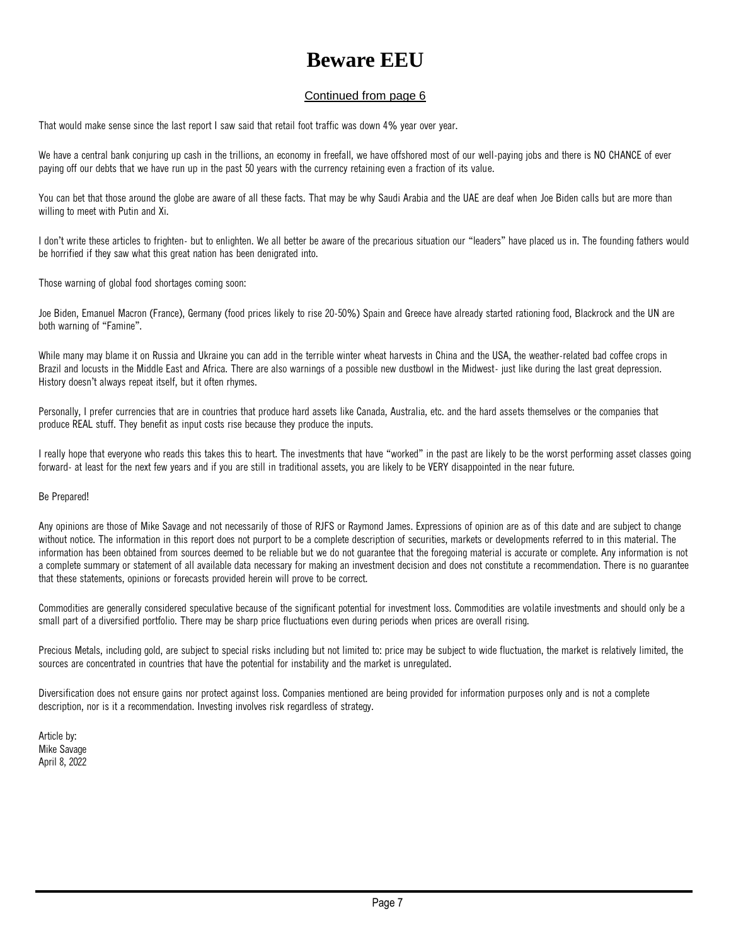### **Beware EEU**

#### Continued from page 6

That would make sense since the last report I saw said that retail foot traffic was down 4% year over year.

We have a central bank conjuring up cash in the trillions, an economy in freefall, we have offshored most of our well-paying jobs and there is NO CHANCE of ever paying off our debts that we have run up in the past 50 years with the currency retaining even a fraction of its value.

You can bet that those around the globe are aware of all these facts. That may be why Saudi Arabia and the UAE are deaf when Joe Biden calls but are more than willing to meet with Putin and Xi.

I don't write these articles to frighten- but to enlighten. We all better be aware of the precarious situation our "leaders" have placed us in. The founding fathers would be horrified if they saw what this great nation has been denigrated into.

Those warning of global food shortages coming soon:

Joe Biden, Emanuel Macron (France), Germany (food prices likely to rise 20-50%) Spain and Greece have already started rationing food, Blackrock and the UN are both warning of "Famine".

While many may blame it on Russia and Ukraine you can add in the terrible winter wheat harvests in China and the USA, the weather-related bad coffee crops in Brazil and locusts in the Middle East and Africa. There are also warnings of a possible new dustbowl in the Midwest- just like during the last great depression. History doesn't always repeat itself, but it often rhymes.

Personally, I prefer currencies that are in countries that produce hard assets like Canada, Australia, etc. and the hard assets themselves or the companies that produce REAL stuff. They benefit as input costs rise because they produce the inputs.

I really hope that everyone who reads this takes this to heart. The investments that have "worked" in the past are likely to be the worst performing asset classes going forward- at least for the next few years and if you are still in traditional assets, you are likely to be VERY disappointed in the near future.

#### Be Prepared!

Any opinions are those of Mike Savage and not necessarily of those of RJFS or Raymond James. Expressions of opinion are as of this date and are subject to change without notice. The information in this report does not purport to be a complete description of securities, markets or developments referred to in this material. The information has been obtained from sources deemed to be reliable but we do not guarantee that the foregoing material is accurate or complete. Any information is not a complete summary or statement of all available data necessary for making an investment decision and does not constitute a recommendation. There is no guarantee that these statements, opinions or forecasts provided herein will prove to be correct.

Commodities are generally considered speculative because of the significant potential for investment loss. Commodities are volatile investments and should only be a small part of a diversified portfolio. There may be sharp price fluctuations even during periods when prices are overall rising.

Precious Metals, including gold, are subject to special risks including but not limited to: price may be subject to wide fluctuation, the market is relatively limited, the sources are concentrated in countries that have the potential for instability and the market is unregulated.

Diversification does not ensure gains nor protect against loss. Companies mentioned are being provided for information purposes only and is not a complete description, nor is it a recommendation. Investing involves risk regardless of strategy.

Article by: [Mike Savage](https://www.gold-eagle.com/authors/mike-savage) April 8, 2022